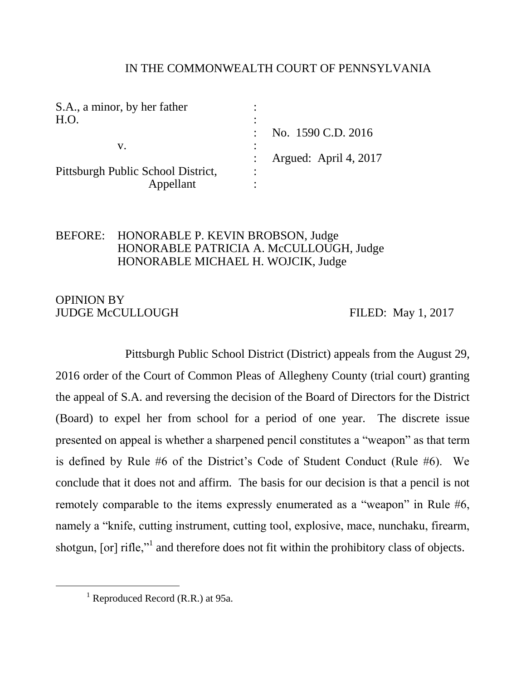## IN THE COMMONWEALTH COURT OF PENNSYLVANIA

| S.A., a minor, by her father       |                       |  |
|------------------------------------|-----------------------|--|
| H.O.                               |                       |  |
|                                    | No. 1590 C.D. 2016    |  |
| V.                                 |                       |  |
|                                    | Argued: April 4, 2017 |  |
| Pittsburgh Public School District, | ٠                     |  |
| Appellant                          |                       |  |

# BEFORE: HONORABLE P. KEVIN BROBSON, Judge HONORABLE PATRICIA A. McCULLOUGH, Judge HONORABLE MICHAEL H. WOJCIK, Judge

# OPINION BY JUDGE McCULLOUGH FILED: May 1, 2017

Pittsburgh Public School District (District) appeals from the August 29, 2016 order of the Court of Common Pleas of Allegheny County (trial court) granting the appeal of S.A. and reversing the decision of the Board of Directors for the District (Board) to expel her from school for a period of one year. The discrete issue presented on appeal is whether a sharpened pencil constitutes a "weapon" as that term is defined by Rule #6 of the District's Code of Student Conduct (Rule #6). We conclude that it does not and affirm. The basis for our decision is that a pencil is not remotely comparable to the items expressly enumerated as a "weapon" in Rule #6, namely a "knife, cutting instrument, cutting tool, explosive, mace, nunchaku, firearm, shotgun, [or] rifle,"<sup>1</sup> and therefore does not fit within the prohibitory class of objects.

 $<sup>1</sup>$  Reproduced Record (R.R.) at 95a.</sup>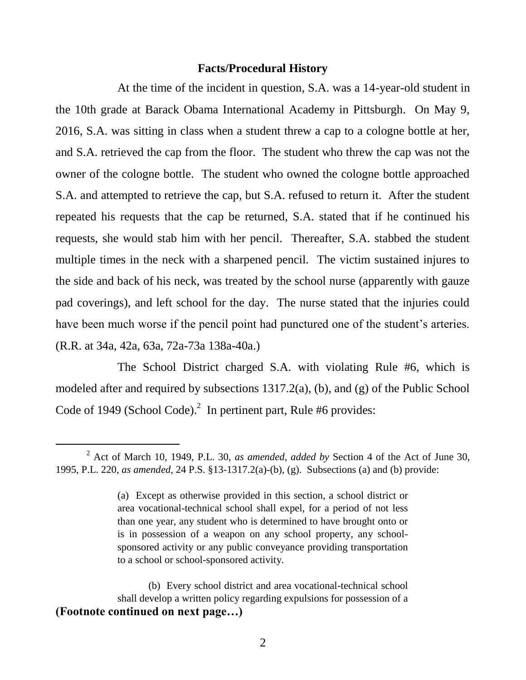#### **Facts/Procedural History**

At the time of the incident in question, S.A. was a 14-year-old student in the 10th grade at Barack Obama International Academy in Pittsburgh. On May 9, 2016, S.A. was sitting in class when a student threw a cap to a cologne bottle at her, and S.A. retrieved the cap from the floor. The student who threw the cap was not the owner of the cologne bottle. The student who owned the cologne bottle approached S.A. and attempted to retrieve the cap, but S.A. refused to return it. After the student repeated his requests that the cap be returned, S.A. stated that if he continued his requests, she would stab him with her pencil. Thereafter, S.A. stabbed the student multiple times in the neck with a sharpened pencil. The victim sustained injures to the side and back of his neck, was treated by the school nurse (apparently with gauze pad coverings), and left school for the day. The nurse stated that the injuries could have been much worse if the pencil point had punctured one of the student's arteries. (R.R. at 34a, 42a, 63a, 72a-73a 138a-40a.)

The School District charged S.A. with violating Rule #6, which is modeled after and required by subsections 1317.2(a), (b), and (g) of the Public School Code of 1949 (School Code). $^2$  In pertinent part, Rule #6 provides:

<sup>2</sup> Act of March 10, 1949, P.L. 30, *as amended, added by* Section 4 of the Act of June 30, 1995, P.L. 220, *as amended,* 24 P.S. §13-1317.2(a)-(b), (g). Subsections (a) and (b) provide:

<sup>(</sup>a) Except as otherwise provided in this section, a school district or area vocational-technical school shall expel, for a period of not less than one year, any student who is determined to have brought onto or is in possession of a weapon on any school property, any schoolsponsored activity or any public conveyance providing transportation to a school or school-sponsored activity.

<sup>(</sup>b) Every school district and area vocational-technical school shall develop a written policy regarding expulsions for possession of a **(Footnote continued on next page…)**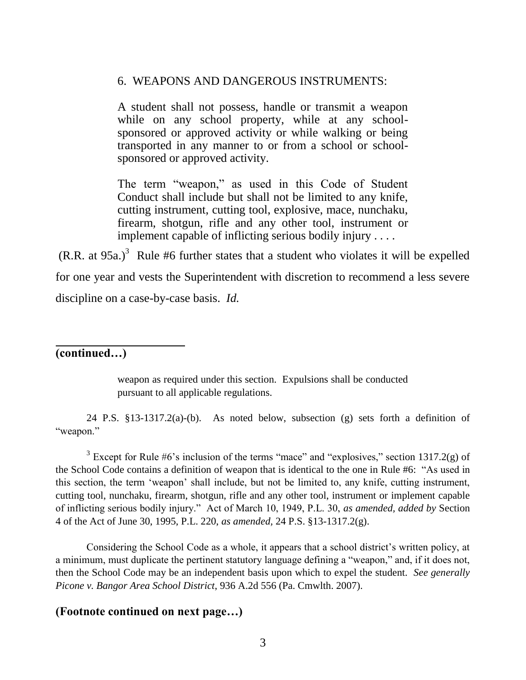#### 6. WEAPONS AND DANGEROUS INSTRUMENTS:

A student shall not possess, handle or transmit a weapon while on any school property, while at any schoolsponsored or approved activity or while walking or being transported in any manner to or from a school or schoolsponsored or approved activity.

The term "weapon," as used in this Code of Student Conduct shall include but shall not be limited to any knife, cutting instrument, cutting tool, explosive, mace, nunchaku, firearm, shotgun, rifle and any other tool, instrument or implement capable of inflicting serious bodily injury . . . .

 $(R.R. at 95a.)<sup>3</sup>$  Rule #6 further states that a student who violates it will be expelled for one year and vests the Superintendent with discretion to recommend a less severe discipline on a case-by-case basis. *Id.* 

# **(continued…)**

 $\overline{a}$ 

weapon as required under this section. Expulsions shall be conducted pursuant to all applicable regulations.

24 P.S. §13-1317.2(a)-(b). As noted below, subsection (g) sets forth a definition of "weapon."

<sup>3</sup> Except for Rule  $#6$ 's inclusion of the terms "mace" and "explosives," section 1317.2(g) of the School Code contains a definition of weapon that is identical to the one in Rule #6: "As used in this section, the term 'weapon' shall include, but not be limited to, any knife, cutting instrument, cutting tool, nunchaku, firearm, shotgun, rifle and any other tool, instrument or implement capable of inflicting serious bodily injury." Act of March 10, 1949, P.L. 30, *as amended, added by* Section 4 of the Act of June 30, 1995, P.L. 220, *as amended,* 24 P.S. §13-1317.2(g).

Considering the School Code as a whole, it appears that a school district's written policy, at a minimum, must duplicate the pertinent statutory language defining a "weapon," and, if it does not, then the School Code may be an independent basis upon which to expel the student. *See generally Picone v. Bangor Area School District*, 936 A.2d 556 (Pa. Cmwlth. 2007).

### **(Footnote continued on next page…)**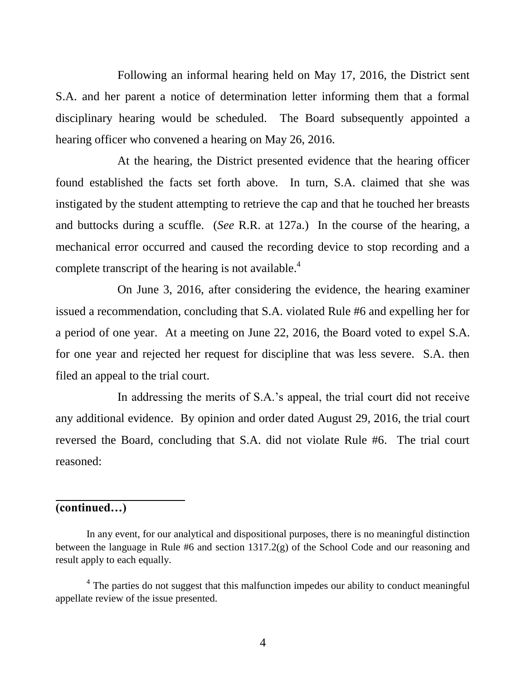Following an informal hearing held on May 17, 2016, the District sent S.A. and her parent a notice of determination letter informing them that a formal disciplinary hearing would be scheduled. The Board subsequently appointed a hearing officer who convened a hearing on May 26, 2016.

At the hearing, the District presented evidence that the hearing officer found established the facts set forth above. In turn, S.A. claimed that she was instigated by the student attempting to retrieve the cap and that he touched her breasts and buttocks during a scuffle. (*See* R.R. at 127a.) In the course of the hearing, a mechanical error occurred and caused the recording device to stop recording and a complete transcript of the hearing is not available.<sup>4</sup>

On June 3, 2016, after considering the evidence, the hearing examiner issued a recommendation, concluding that S.A. violated Rule #6 and expelling her for a period of one year. At a meeting on June 22, 2016, the Board voted to expel S.A. for one year and rejected her request for discipline that was less severe. S.A. then filed an appeal to the trial court.

In addressing the merits of S.A.'s appeal, the trial court did not receive any additional evidence. By opinion and order dated August 29, 2016, the trial court reversed the Board, concluding that S.A. did not violate Rule #6. The trial court reasoned:

## **(continued…)**

 $\overline{a}$ 

In any event, for our analytical and dispositional purposes, there is no meaningful distinction between the language in Rule #6 and section 1317.2(g) of the School Code and our reasoning and result apply to each equally.

<sup>&</sup>lt;sup>4</sup> The parties do not suggest that this malfunction impedes our ability to conduct meaningful appellate review of the issue presented.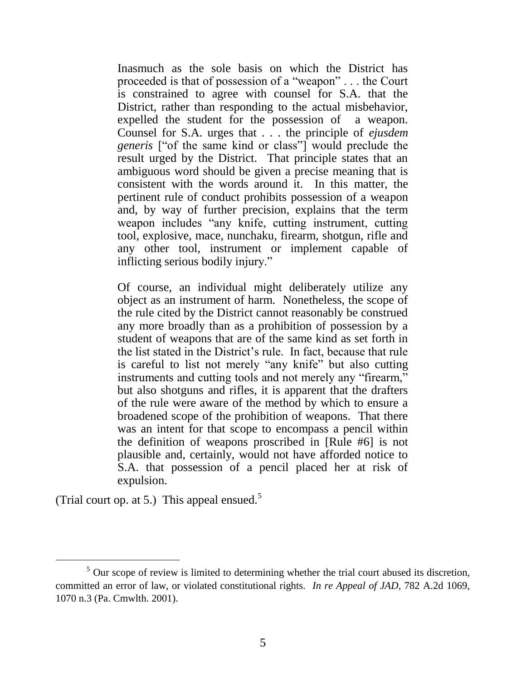Inasmuch as the sole basis on which the District has proceeded is that of possession of a "weapon" . . . the Court is constrained to agree with counsel for S.A. that the District, rather than responding to the actual misbehavior, expelled the student for the possession of a weapon. Counsel for S.A. urges that . . . the principle of *ejusdem generis* ["of the same kind or class"] would preclude the result urged by the District. That principle states that an ambiguous word should be given a precise meaning that is consistent with the words around it. In this matter, the pertinent rule of conduct prohibits possession of a weapon and, by way of further precision, explains that the term weapon includes "any knife, cutting instrument, cutting tool, explosive, mace, nunchaku, firearm, shotgun, rifle and any other tool, instrument or implement capable of inflicting serious bodily injury."

Of course, an individual might deliberately utilize any object as an instrument of harm. Nonetheless, the scope of the rule cited by the District cannot reasonably be construed any more broadly than as a prohibition of possession by a student of weapons that are of the same kind as set forth in the list stated in the District's rule. In fact, because that rule is careful to list not merely "any knife" but also cutting instruments and cutting tools and not merely any "firearm," but also shotguns and rifles, it is apparent that the drafters of the rule were aware of the method by which to ensure a broadened scope of the prohibition of weapons. That there was an intent for that scope to encompass a pencil within the definition of weapons proscribed in [Rule #6] is not plausible and, certainly, would not have afforded notice to S.A. that possession of a pencil placed her at risk of expulsion.

(Trial court op. at 5.) This appeal ensued.<sup>5</sup>

<sup>&</sup>lt;sup>5</sup> Our scope of review is limited to determining whether the trial court abused its discretion, committed an error of law, or violated constitutional rights. *In re Appeal of JAD*, 782 A.2d 1069, 1070 n.3 (Pa. Cmwlth. 2001).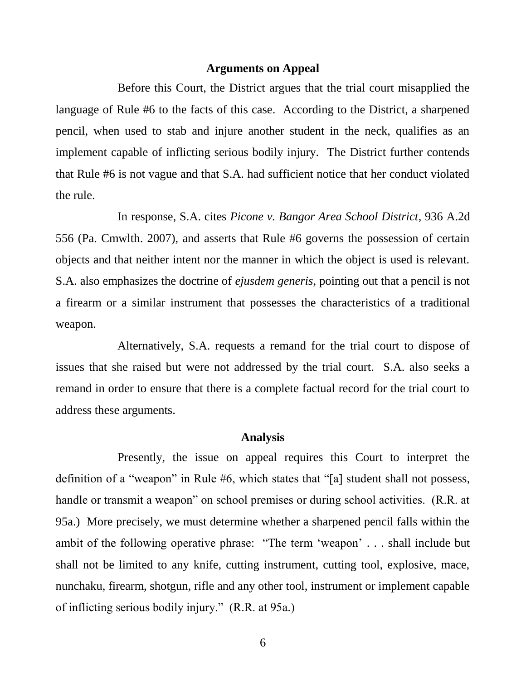#### **Arguments on Appeal**

Before this Court, the District argues that the trial court misapplied the language of Rule #6 to the facts of this case. According to the District, a sharpened pencil, when used to stab and injure another student in the neck, qualifies as an implement capable of inflicting serious bodily injury. The District further contends that Rule #6 is not vague and that S.A. had sufficient notice that her conduct violated the rule.

In response, S.A. cites *Picone v. Bangor Area School District*, 936 A.2d 556 (Pa. Cmwlth. 2007), and asserts that Rule #6 governs the possession of certain objects and that neither intent nor the manner in which the object is used is relevant. S.A. also emphasizes the doctrine of *ejusdem generis*, pointing out that a pencil is not a firearm or a similar instrument that possesses the characteristics of a traditional weapon.

Alternatively, S.A. requests a remand for the trial court to dispose of issues that she raised but were not addressed by the trial court. S.A. also seeks a remand in order to ensure that there is a complete factual record for the trial court to address these arguments.

## **Analysis**

Presently, the issue on appeal requires this Court to interpret the definition of a "weapon" in Rule #6, which states that "[a] student shall not possess, handle or transmit a weapon" on school premises or during school activities. (R.R. at 95a.) More precisely, we must determine whether a sharpened pencil falls within the ambit of the following operative phrase: "The term 'weapon' . . . shall include but shall not be limited to any knife, cutting instrument, cutting tool, explosive, mace, nunchaku, firearm, shotgun, rifle and any other tool, instrument or implement capable of inflicting serious bodily injury." (R.R. at 95a.)

6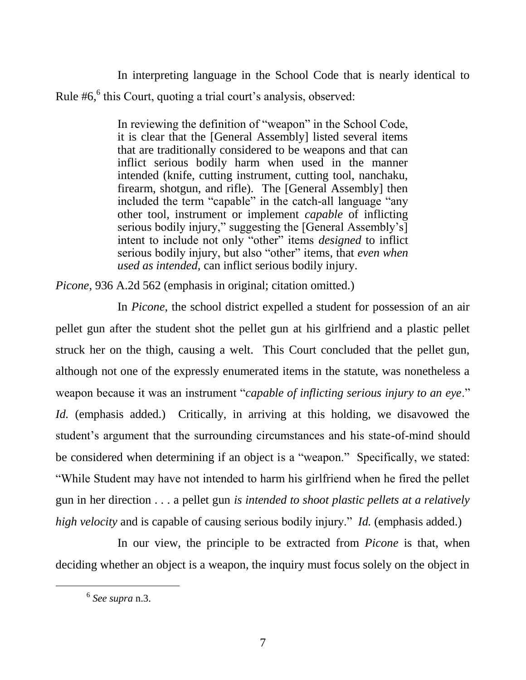In interpreting language in the School Code that is nearly identical to Rule #6,<sup>6</sup> this Court, quoting a trial court's analysis, observed:

> In reviewing the definition of "weapon" in the School Code, it is clear that the [General Assembly] listed several items that are traditionally considered to be weapons and that can inflict serious bodily harm when used in the manner intended (knife, cutting instrument, cutting tool, nanchaku, firearm, shotgun, and rifle). The [General Assembly] then included the term "capable" in the catch-all language "any other tool, instrument or implement *capable* of inflicting serious bodily injury," suggesting the [General Assembly's] intent to include not only "other" items *designed* to inflict serious bodily injury, but also "other" items, that *even when used as intended,* can inflict serious bodily injury.

*Picone*, 936 A.2d 562 (emphasis in original; citation omitted.)

In *Picone*, the school district expelled a student for possession of an air pellet gun after the student shot the pellet gun at his girlfriend and a plastic pellet struck her on the thigh, causing a welt. This Court concluded that the pellet gun, although not one of the expressly enumerated items in the statute, was nonetheless a weapon because it was an instrument "*capable of inflicting serious injury to an eye*." *Id.* (emphasis added.)Critically, in arriving at this holding, we disavowed the student's argument that the surrounding circumstances and his state-of-mind should be considered when determining if an object is a "weapon." Specifically, we stated: "While Student may have not intended to harm his girlfriend when he fired the pellet gun in her direction . . . a pellet gun *is intended to shoot plastic pellets at a relatively high velocity* and is capable of causing serious bodily injury." *Id.* (emphasis added.)

In our view, the principle to be extracted from *Picone* is that, when deciding whether an object is a weapon, the inquiry must focus solely on the object in

<sup>6</sup> *See supra* n.3.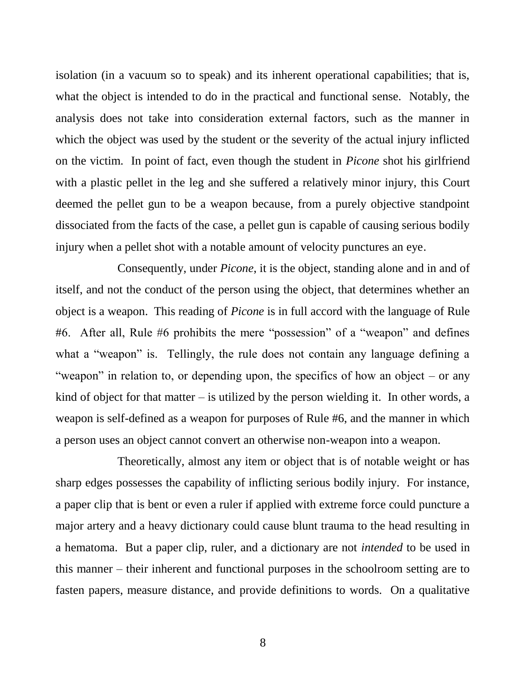isolation (in a vacuum so to speak) and its inherent operational capabilities; that is, what the object is intended to do in the practical and functional sense. Notably, the analysis does not take into consideration external factors, such as the manner in which the object was used by the student or the severity of the actual injury inflicted on the victim. In point of fact, even though the student in *Picone* shot his girlfriend with a plastic pellet in the leg and she suffered a relatively minor injury, this Court deemed the pellet gun to be a weapon because, from a purely objective standpoint dissociated from the facts of the case, a pellet gun is capable of causing serious bodily injury when a pellet shot with a notable amount of velocity punctures an eye.

Consequently, under *Picone*, it is the object, standing alone and in and of itself, and not the conduct of the person using the object, that determines whether an object is a weapon. This reading of *Picone* is in full accord with the language of Rule #6. After all, Rule #6 prohibits the mere "possession" of a "weapon" and defines what a "weapon" is. Tellingly, the rule does not contain any language defining a "weapon" in relation to, or depending upon, the specifics of how an object – or any kind of object for that matter  $-$  is utilized by the person wielding it. In other words, a weapon is self-defined as a weapon for purposes of Rule #6, and the manner in which a person uses an object cannot convert an otherwise non-weapon into a weapon.

Theoretically, almost any item or object that is of notable weight or has sharp edges possesses the capability of inflicting serious bodily injury. For instance, a paper clip that is bent or even a ruler if applied with extreme force could puncture a major artery and a heavy dictionary could cause blunt trauma to the head resulting in a hematoma. But a paper clip, ruler, and a dictionary are not *intended* to be used in this manner – their inherent and functional purposes in the schoolroom setting are to fasten papers, measure distance, and provide definitions to words. On a qualitative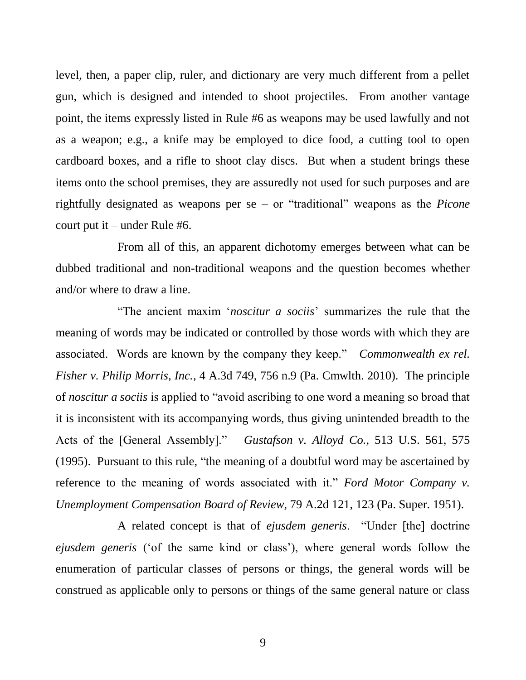level, then, a paper clip, ruler, and dictionary are very much different from a pellet gun, which is designed and intended to shoot projectiles. From another vantage point, the items expressly listed in Rule #6 as weapons may be used lawfully and not as a weapon; e.g., a knife may be employed to dice food, a cutting tool to open cardboard boxes, and a rifle to shoot clay discs. But when a student brings these items onto the school premises, they are assuredly not used for such purposes and are rightfully designated as weapons per se – or "traditional" weapons as the *Picone*  court put it – under Rule #6.

From all of this, an apparent dichotomy emerges between what can be dubbed traditional and non-traditional weapons and the question becomes whether and/or where to draw a line.

"The ancient maxim '*noscitur a sociis*' summarizes the rule that the meaning of words may be indicated or controlled by those words with which they are associated. Words are known by the company they keep." *Commonwealth ex rel. Fisher v. Philip Morris, Inc.*, 4 A.3d 749, 756 n.9 (Pa. Cmwlth. 2010). The principle of *noscitur a sociis* is applied to "avoid ascribing to one word a meaning so broad that it is inconsistent with its accompanying words, thus giving unintended breadth to the Acts of the [General Assembly]." *Gustafson v. Alloyd Co.*, 513 U.S. 561, 575 (1995). Pursuant to this rule, "the meaning of a doubtful word may be ascertained by reference to the meaning of words associated with it." *Ford Motor Company v. Unemployment Compensation Board of Review*, 79 A.2d 121, 123 (Pa. Super. 1951).

A related concept is that of *ejusdem generis*. "Under [the] doctrine *ejusdem generis* ('of the same kind or class'), where general words follow the enumeration of particular classes of persons or things, the general words will be construed as applicable only to persons or things of the same general nature or class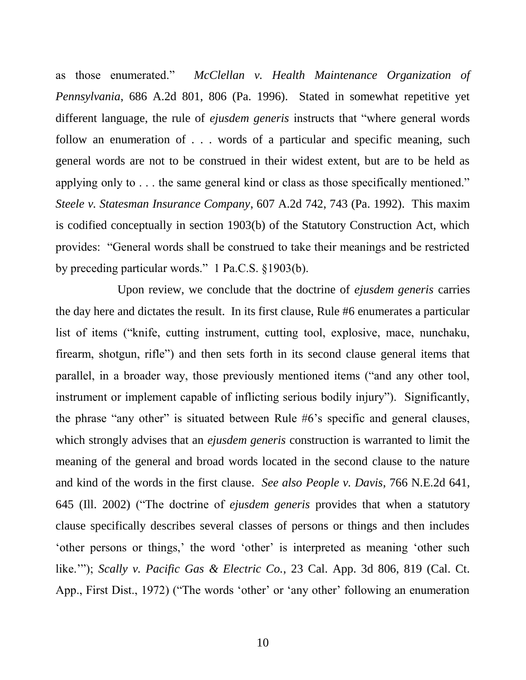as those enumerated." *McClellan v. Health Maintenance Organization of Pennsylvania*, 686 A.2d 801, 806 (Pa. 1996). Stated in somewhat repetitive yet different language, the rule of *ejusdem generis* instructs that "where general words follow an enumeration of . . . words of a particular and specific meaning, such general words are not to be construed in their widest extent, but are to be held as applying only to . . . the same general kind or class as those specifically mentioned." *Steele v. Statesman Insurance Company*, 607 A.2d 742, 743 (Pa. 1992). This maxim is codified conceptually in section 1903(b) of the Statutory Construction Act, which provides: "General words shall be construed to take their meanings and be restricted by preceding particular words." 1 Pa.C.S. §1903(b).

Upon review, we conclude that the doctrine of *ejusdem generis* carries the day here and dictates the result. In its first clause, Rule #6 enumerates a particular list of items ("knife, cutting instrument, cutting tool, explosive, mace, nunchaku, firearm, shotgun, rifle") and then sets forth in its second clause general items that parallel, in a broader way, those previously mentioned items ("and any other tool, instrument or implement capable of inflicting serious bodily injury"). Significantly, the phrase "any other" is situated between Rule #6's specific and general clauses, which strongly advises that an *ejusdem generis* construction is warranted to limit the meaning of the general and broad words located in the second clause to the nature and kind of the words in the first clause. *See also People v. Davis*, 766 N.E.2d 641, 645 (Ill. 2002) ("The doctrine of *ejusdem generis* provides that when a statutory clause specifically describes several classes of persons or things and then includes 'other persons or things,' the word 'other' is interpreted as meaning 'other such like.'"); *Scally v. Pacific Gas & Electric Co.*, 23 Cal. App. 3d 806, 819 (Cal. Ct. App., First Dist., 1972) ("The words 'other' or 'any other' following an enumeration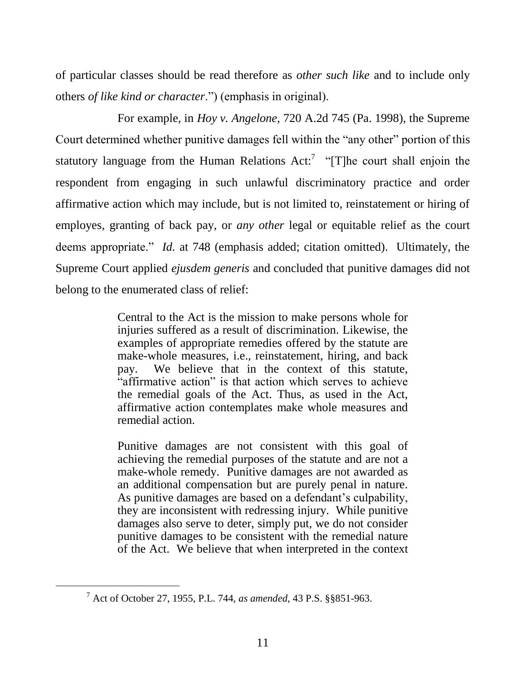of particular classes should be read therefore as *other such like* and to include only others *of like kind or character*.") (emphasis in original).

For example, in *Hoy v. Angelone,* 720 A.2d 745 (Pa. 1998), the Supreme Court determined whether punitive damages fell within the "any other" portion of this statutory language from the Human Relations  $Act:$  "[T]he court shall enjoin the respondent from engaging in such unlawful discriminatory practice and order affirmative action which may include, but is not limited to, reinstatement or hiring of employes, granting of back pay, or *any other* legal or equitable relief as the court deems appropriate." *Id.* at 748 (emphasis added; citation omitted). Ultimately, the Supreme Court applied *ejusdem generis* and concluded that punitive damages did not belong to the enumerated class of relief:

> Central to the Act is the mission to make persons whole for injuries suffered as a result of discrimination. Likewise, the examples of appropriate remedies offered by the statute are make-whole measures, i.e., reinstatement, hiring, and back pay. We believe that in the context of this statute, "affirmative action" is that action which serves to achieve the remedial goals of the Act. Thus, as used in the Act, affirmative action contemplates make whole measures and remedial action.

> Punitive damages are not consistent with this goal of achieving the remedial purposes of the statute and are not a make-whole remedy. Punitive damages are not awarded as an additional compensation but are purely penal in nature. As punitive damages are based on a defendant's culpability, they are inconsistent with redressing injury. While punitive damages also serve to deter, simply put, we do not consider punitive damages to be consistent with the remedial nature of the Act. We believe that when interpreted in the context

<sup>7</sup> Act of October 27, 1955, P.L. 744, *as amended*, 43 P.S. §§851-963.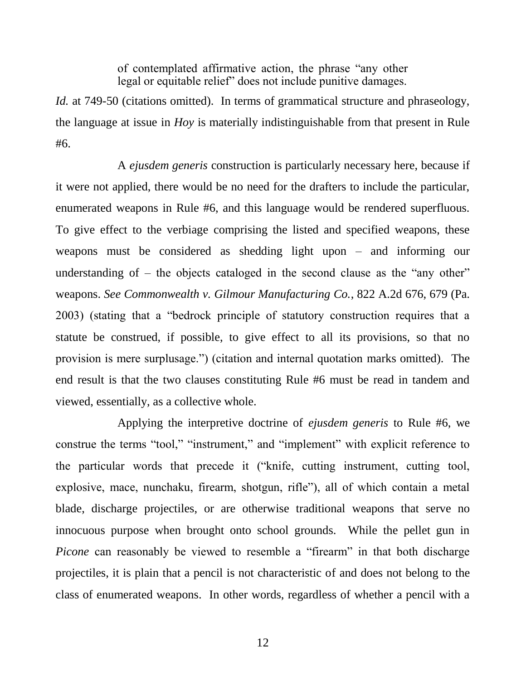of contemplated affirmative action, the phrase "any other legal or equitable relief" does not include punitive damages.

*Id.* at 749-50 (citations omitted). In terms of grammatical structure and phraseology, the language at issue in *Hoy* is materially indistinguishable from that present in Rule #6.

A *ejusdem generis* construction is particularly necessary here, because if it were not applied, there would be no need for the drafters to include the particular, enumerated weapons in Rule #6, and this language would be rendered superfluous. To give effect to the verbiage comprising the listed and specified weapons, these weapons must be considered as shedding light upon – and informing our understanding of – the objects cataloged in the second clause as the "any other" weapons. *See Commonwealth v. Gilmour Manufacturing Co.*, 822 A.2d 676, 679 (Pa. 2003) (stating that a "bedrock principle of statutory construction requires that a statute be construed, if possible, to give effect to all its provisions, so that no provision is mere surplusage.") (citation and internal quotation marks omitted). The end result is that the two clauses constituting Rule #6 must be read in tandem and viewed, essentially, as a collective whole.

Applying the interpretive doctrine of *ejusdem generis* to Rule #6, we construe the terms "tool," "instrument," and "implement" with explicit reference to the particular words that precede it ("knife, cutting instrument, cutting tool, explosive, mace, nunchaku, firearm, shotgun, rifle"), all of which contain a metal blade, discharge projectiles, or are otherwise traditional weapons that serve no innocuous purpose when brought onto school grounds. While the pellet gun in *Picone* can reasonably be viewed to resemble a "firearm" in that both discharge projectiles, it is plain that a pencil is not characteristic of and does not belong to the class of enumerated weapons. In other words, regardless of whether a pencil with a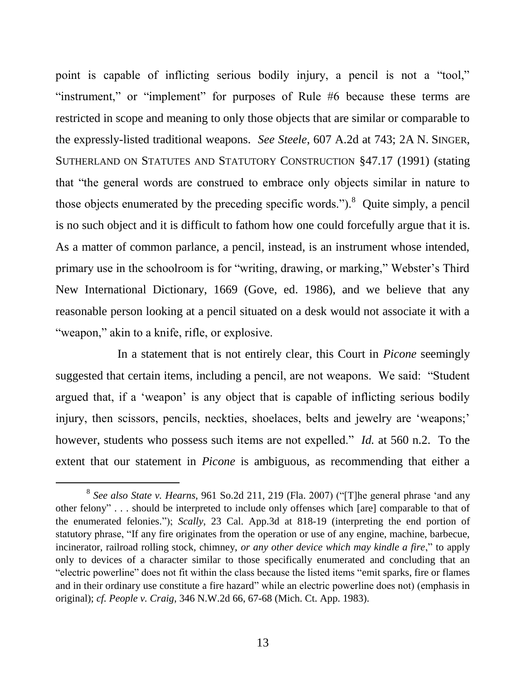point is capable of inflicting serious bodily injury, a pencil is not a "tool," "instrument," or "implement" for purposes of Rule #6 because these terms are restricted in scope and meaning to only those objects that are similar or comparable to the expressly-listed traditional weapons. *See Steele*, 607 A.2d at 743; 2A N. SINGER, SUTHERLAND ON STATUTES AND STATUTORY CONSTRUCTION §47.17 (1991) (stating that "the general words are construed to embrace only objects similar in nature to those objects enumerated by the preceding specific words."). $8$  Quite simply, a pencil is no such object and it is difficult to fathom how one could forcefully argue that it is. As a matter of common parlance, a pencil, instead, is an instrument whose intended, primary use in the schoolroom is for "writing, drawing, or marking," Webster's Third New International Dictionary, 1669 (Gove, ed. 1986), and we believe that any reasonable person looking at a pencil situated on a desk would not associate it with a "weapon," akin to a knife, rifle, or explosive.

In a statement that is not entirely clear, this Court in *Picone* seemingly suggested that certain items, including a pencil, are not weapons. We said: "Student argued that, if a 'weapon' is any object that is capable of inflicting serious bodily injury, then scissors, pencils, neckties, shoelaces, belts and jewelry are 'weapons;' however, students who possess such items are not expelled." *Id.* at 560 n.2. To the extent that our statement in *Picone* is ambiguous, as recommending that either a

<sup>8</sup> *See also State v. Hearns*, 961 So.2d 211, 219 (Fla. 2007) ("[T]he general phrase 'and any other felony" . . . should be interpreted to include only offenses which [are] comparable to that of the enumerated felonies."); *Scally*, 23 Cal. App.3d at 818-19 (interpreting the end portion of statutory phrase, "If any fire originates from the operation or use of any engine, machine, barbecue, incinerator, railroad rolling stock, chimney, *or any other device which may kindle a fire*," to apply only to devices of a character similar to those specifically enumerated and concluding that an "electric powerline" does not fit within the class because the listed items "emit sparks, fire or flames and in their ordinary use constitute a fire hazard" while an electric powerline does not) (emphasis in original); *cf. People v. Craig*, 346 N.W.2d 66, 67-68 (Mich. Ct. App. 1983).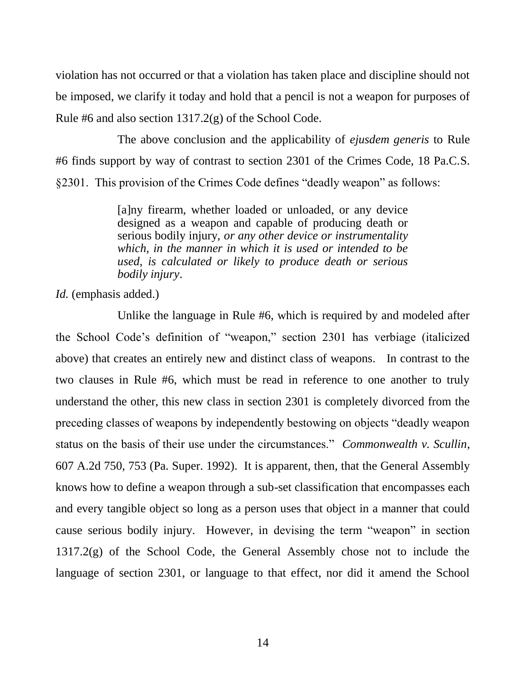violation has not occurred or that a violation has taken place and discipline should not be imposed, we clarify it today and hold that a pencil is not a weapon for purposes of Rule #6 and also section  $1317.2(g)$  of the School Code.

The above conclusion and the applicability of *ejusdem generis* to Rule #6 finds support by way of contrast to section 2301 of the Crimes Code, 18 Pa.C.S. §2301. This provision of the Crimes Code defines "deadly weapon" as follows:

> [a]ny firearm, whether loaded or unloaded, or any device designed as a weapon and capable of producing death or serious bodily injury, *or any other device or instrumentality which, in the manner in which it is used or intended to be used, is calculated or likely to produce death or serious bodily injury*.

*Id.* (emphasis added.)

Unlike the language in Rule #6, which is required by and modeled after the School Code's definition of "weapon," section 2301 has verbiage (italicized above) that creates an entirely new and distinct class of weapons. In contrast to the two clauses in Rule #6, which must be read in reference to one another to truly understand the other, this new class in section 2301 is completely divorced from the preceding classes of weapons by independently bestowing on objects "deadly weapon status on the basis of their use under the circumstances." *Commonwealth v. Scullin*, 607 A.2d 750, 753 (Pa. Super. 1992). It is apparent, then, that the General Assembly knows how to define a weapon through a sub-set classification that encompasses each and every tangible object so long as a person uses that object in a manner that could cause serious bodily injury. However, in devising the term "weapon" in section 1317.2(g) of the School Code, the General Assembly chose not to include the language of section 2301, or language to that effect, nor did it amend the School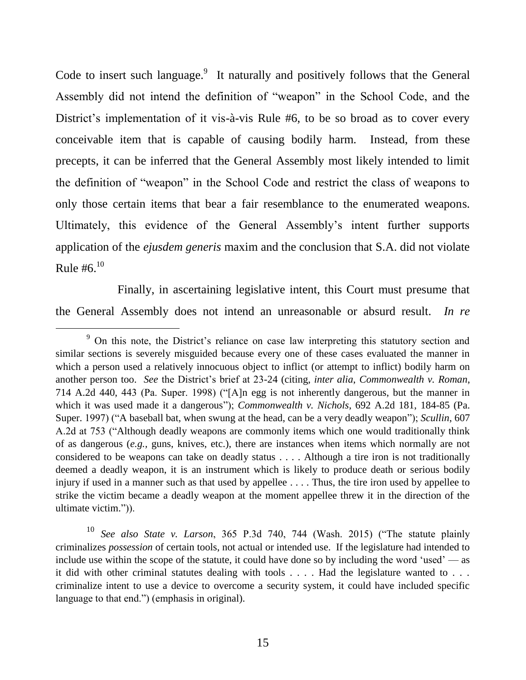Code to insert such language.<sup>9</sup> It naturally and positively follows that the General Assembly did not intend the definition of "weapon" in the School Code, and the District's implementation of it vis-à-vis Rule #6, to be so broad as to cover every conceivable item that is capable of causing bodily harm. Instead, from these precepts, it can be inferred that the General Assembly most likely intended to limit the definition of "weapon" in the School Code and restrict the class of weapons to only those certain items that bear a fair resemblance to the enumerated weapons. Ultimately, this evidence of the General Assembly's intent further supports application of the *ejusdem generis* maxim and the conclusion that S.A. did not violate Rule # $6^{10}$ 

Finally, in ascertaining legislative intent, this Court must presume that the General Assembly does not intend an unreasonable or absurd result. *In re* 

<sup>&</sup>lt;sup>9</sup> On this note, the District's reliance on case law interpreting this statutory section and similar sections is severely misguided because every one of these cases evaluated the manner in which a person used a relatively innocuous object to inflict (or attempt to inflict) bodily harm on another person too. *See* the District's brief at 23-24 (citing, *inter alia*, *Commonwealth v. Roman*, 714 A.2d 440, 443 (Pa. Super. 1998) ("[A]n egg is not inherently dangerous, but the manner in which it was used made it a dangerous"); *Commonwealth v. Nichols*, 692 A.2d 181, 184-85 (Pa. Super. 1997) ("A baseball bat, when swung at the head, can be a very deadly weapon"); *Scullin*, 607 A.2d at 753 ("Although deadly weapons are commonly items which one would traditionally think of as dangerous (*e.g.,* guns, knives, etc.), there are instances when items which normally are not considered to be weapons can take on deadly status . . . . Although a tire iron is not traditionally deemed a deadly weapon, it is an instrument which is likely to produce death or serious bodily injury if used in a manner such as that used by appellee . . . . Thus, the tire iron used by appellee to strike the victim became a deadly weapon at the moment appellee threw it in the direction of the ultimate victim.")).

<sup>10</sup> *See also State v. Larson*, 365 P.3d 740, 744 (Wash. 2015) ("The statute plainly criminalizes *possession* of certain tools, not actual or intended use. If the legislature had intended to include use within the scope of the statute, it could have done so by including the word 'used' — as it did with other criminal statutes dealing with tools . . . . Had the legislature wanted to . . . criminalize intent to use a device to overcome a security system, it could have included specific language to that end.") (emphasis in original).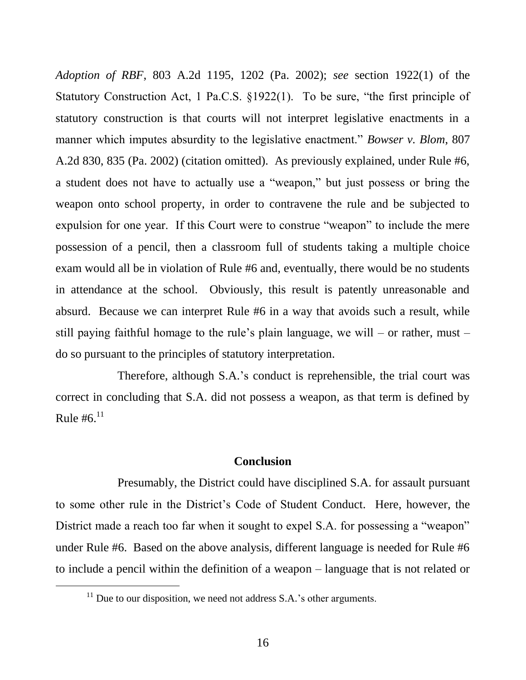*Adoption of RBF*, 803 A.2d 1195, 1202 (Pa. 2002); *see* section 1922(1) of the Statutory Construction Act, 1 Pa.C.S. §1922(1). To be sure, "the first principle of statutory construction is that courts will not interpret legislative enactments in a manner which imputes absurdity to the legislative enactment." *Bowser v. Blom*, 807 A.2d 830, 835 (Pa. 2002) (citation omitted). As previously explained, under Rule #6, a student does not have to actually use a "weapon," but just possess or bring the weapon onto school property, in order to contravene the rule and be subjected to expulsion for one year. If this Court were to construe "weapon" to include the mere possession of a pencil, then a classroom full of students taking a multiple choice exam would all be in violation of Rule #6 and, eventually, there would be no students in attendance at the school. Obviously, this result is patently unreasonable and absurd. Because we can interpret Rule #6 in a way that avoids such a result, while still paying faithful homage to the rule's plain language, we will – or rather, must – do so pursuant to the principles of statutory interpretation.

Therefore, although S.A.'s conduct is reprehensible, the trial court was correct in concluding that S.A. did not possess a weapon, as that term is defined by Rule #6. $^{11}$ 

#### **Conclusion**

Presumably, the District could have disciplined S.A. for assault pursuant to some other rule in the District's Code of Student Conduct. Here, however, the District made a reach too far when it sought to expel S.A. for possessing a "weapon" under Rule #6. Based on the above analysis, different language is needed for Rule #6 to include a pencil within the definition of a weapon – language that is not related or

 $11$  Due to our disposition, we need not address S.A.'s other arguments.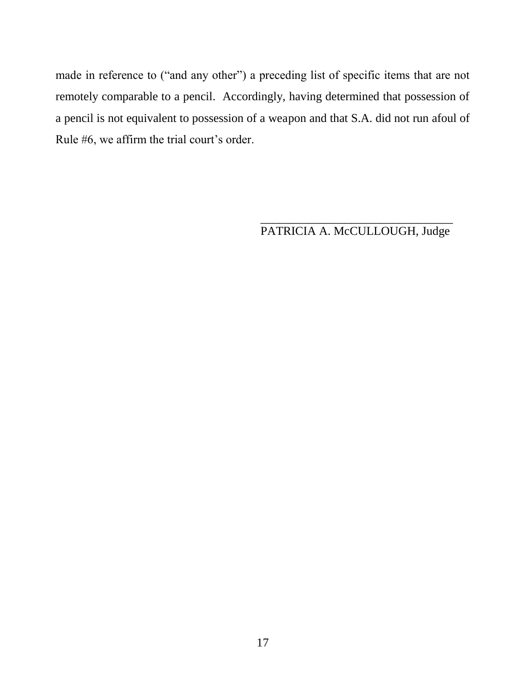made in reference to ("and any other") a preceding list of specific items that are not remotely comparable to a pencil. Accordingly, having determined that possession of a pencil is not equivalent to possession of a weapon and that S.A. did not run afoul of Rule #6, we affirm the trial court's order.

> \_\_\_\_\_\_\_\_\_\_\_\_\_\_\_\_\_\_\_\_\_\_\_\_\_\_\_\_\_\_\_\_ PATRICIA A. McCULLOUGH, Judge